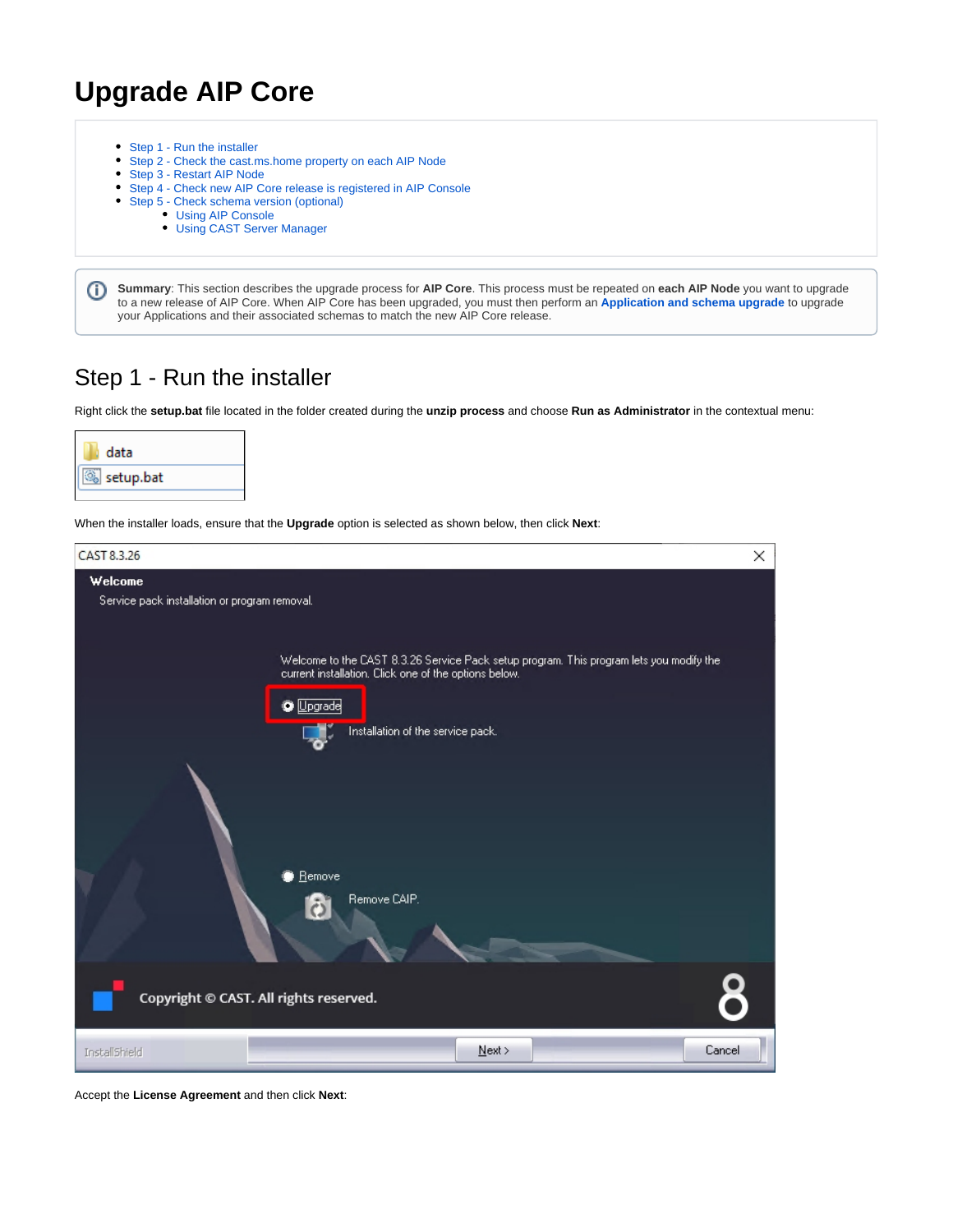# **Upgrade AIP Core**

- [Step 1 Run the installer](#page-0-0)  $\bullet$
- [Step 2 Check the cast.ms.home property on each AIP Node](#page-3-0)
- [Step 3 Restart AIP Node](#page-4-0)
- [Step 4 Check new AIP Core release is registered in AIP Console](#page-4-1)
- [Step 5 Check schema version \(optional\)](#page-4-2)
	- [Using AIP Console](#page-4-3)
	- [Using CAST Server Manager](#page-5-0)

**Summary**: This section describes the upgrade process for **AIP Core**. This process must be repeated on **each AIP Node** you want to upgrade O to a new release of AIP Core. When AIP Core has been upgraded, you must then perform an **[Application and schema upgrade](https://doc.castsoftware.com/display/DASHBOARDS/Application+and+schema+upgrade)** to upgrade your Applications and their associated schemas to match the new AIP Core release.

#### <span id="page-0-0"></span>Step 1 - Run the installer

Right click the **setup.bat** file located in the folder created during the **unzip process** and choose **Run as Administrator** in the contextual menu:



When the installer loads, ensure that the **Upgrade** option is selected as shown below, then click **Next**:



Accept the **License Agreement** and then click **Next**: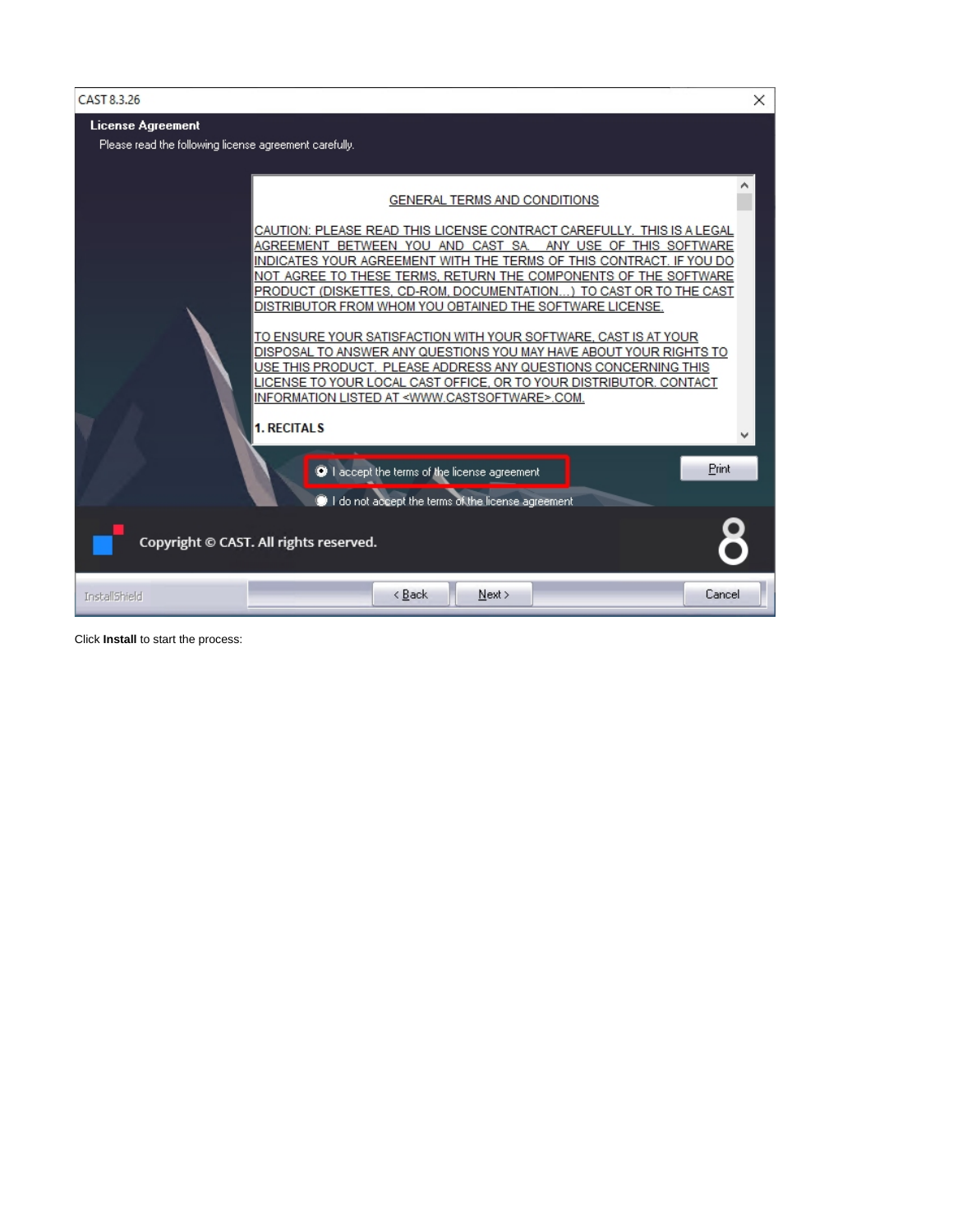

Click **Install** to start the process: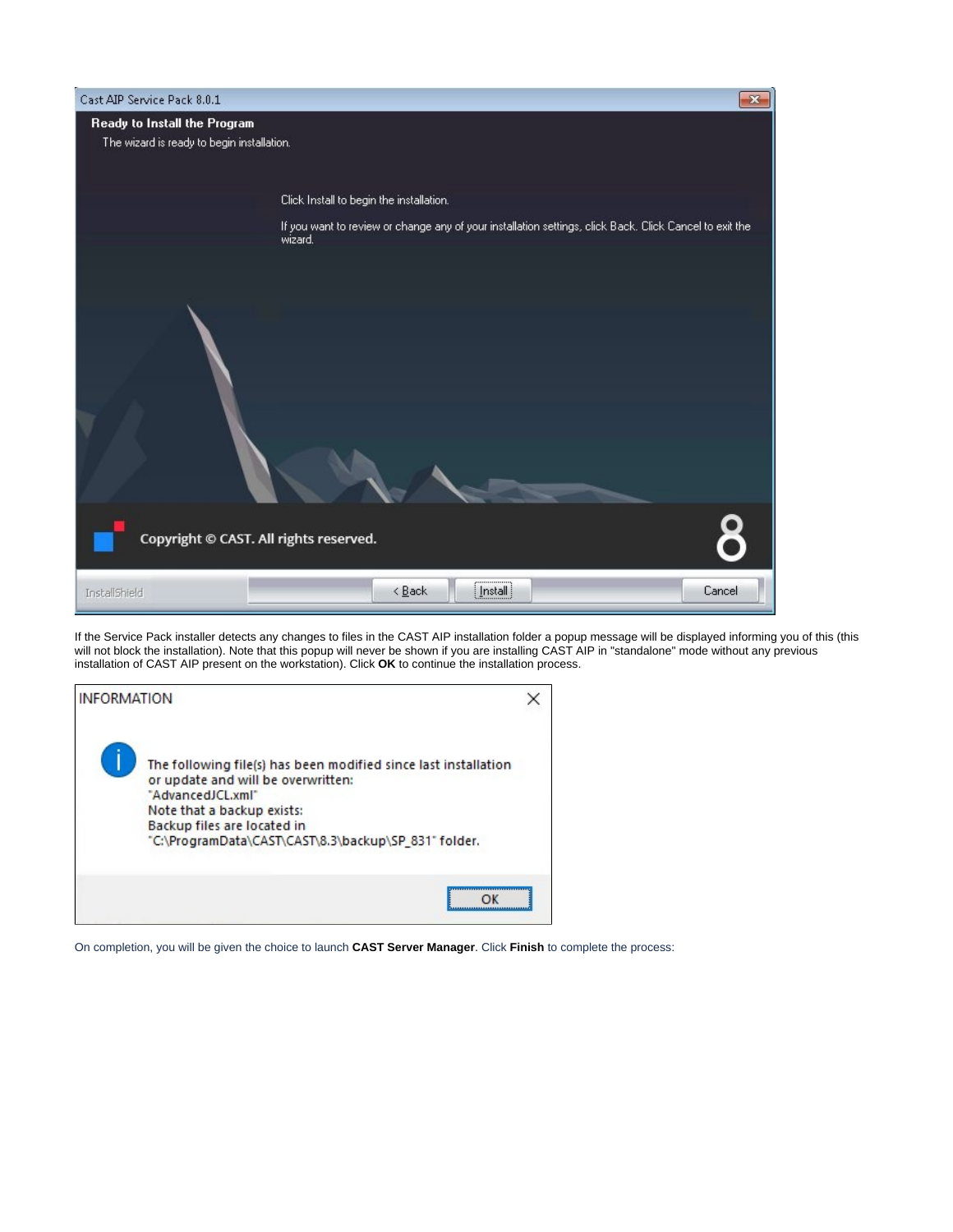| Cast AIP Service Pack 8.0.1                |                                                                                                                    | × |  |  |  |
|--------------------------------------------|--------------------------------------------------------------------------------------------------------------------|---|--|--|--|
| Ready to Install the Program               |                                                                                                                    |   |  |  |  |
| The wizard is ready to begin installation. |                                                                                                                    |   |  |  |  |
|                                            |                                                                                                                    |   |  |  |  |
|                                            | Click Install to begin the installation.                                                                           |   |  |  |  |
|                                            | If you want to review or change any of your installation settings, click Back. Click Cancel to exit the<br>wizard. |   |  |  |  |
|                                            |                                                                                                                    |   |  |  |  |
|                                            |                                                                                                                    |   |  |  |  |
|                                            |                                                                                                                    |   |  |  |  |
|                                            |                                                                                                                    |   |  |  |  |
|                                            |                                                                                                                    |   |  |  |  |
|                                            |                                                                                                                    |   |  |  |  |
|                                            |                                                                                                                    |   |  |  |  |
|                                            |                                                                                                                    |   |  |  |  |
|                                            |                                                                                                                    |   |  |  |  |
|                                            |                                                                                                                    |   |  |  |  |
|                                            |                                                                                                                    |   |  |  |  |
| Copyright © CAST. All rights reserved.     |                                                                                                                    |   |  |  |  |
| InstallShield                              | $[$ Install<br>$\leq$ $\underline{\mathsf{Back}}$<br>Cancel                                                        |   |  |  |  |

If the Service Pack installer detects any changes to files in the CAST AIP installation folder a popup message will be displayed informing you of this (this will not block the installation). Note that this popup will never be shown if you are installing CAST AIP in "standalone" mode without any previous installation of CAST AIP present on the workstation). Click **OK** to continue the installation process.



On completion, you will be given the choice to launch **CAST Server Manager**. Click **Finish** to complete the process: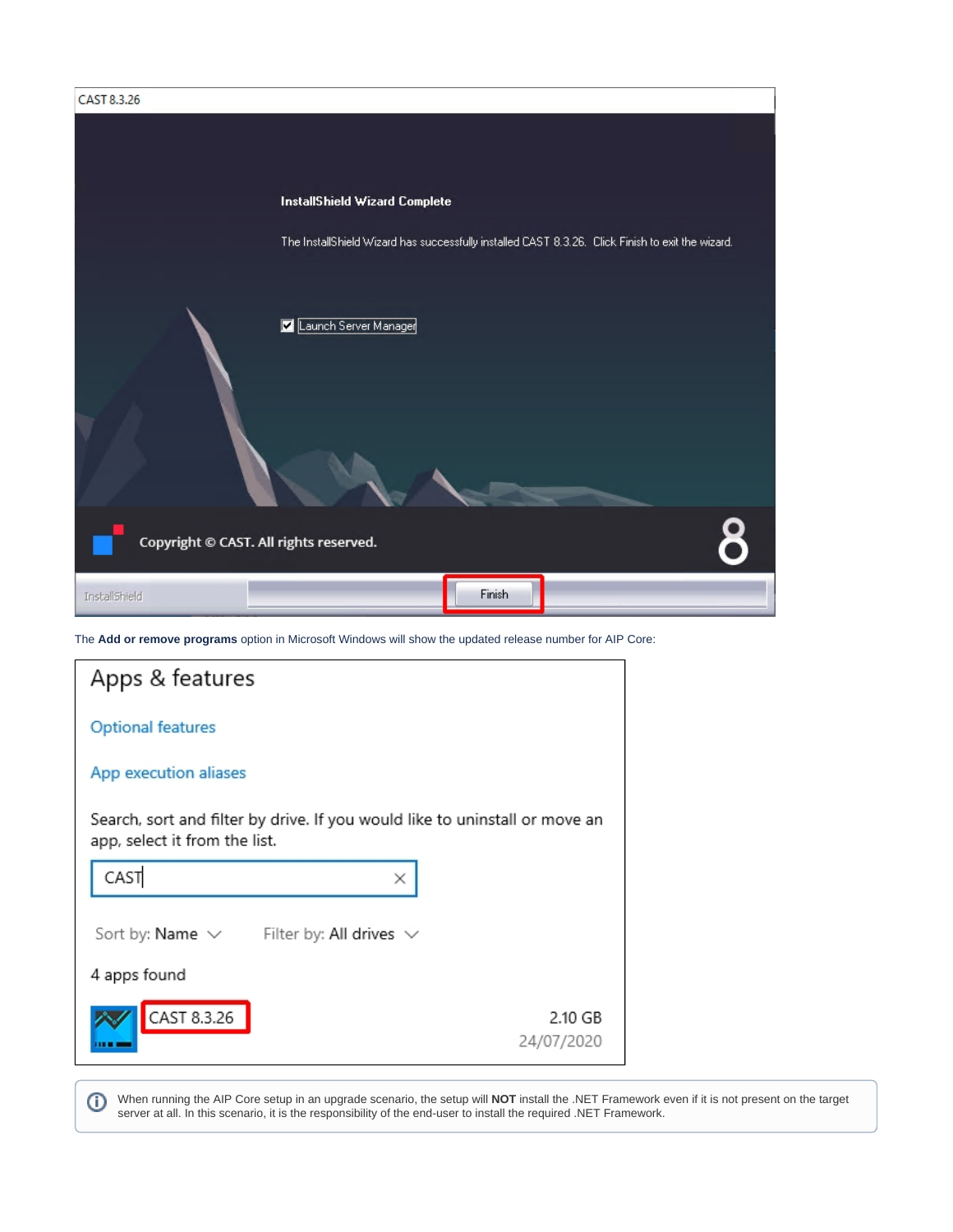| CAST 8.3.26                            |                               |        |                                                                                                   |
|----------------------------------------|-------------------------------|--------|---------------------------------------------------------------------------------------------------|
|                                        |                               |        |                                                                                                   |
|                                        |                               |        |                                                                                                   |
|                                        | InstallShield Wizard Complete |        |                                                                                                   |
|                                        |                               |        |                                                                                                   |
|                                        |                               |        | The InstallShield Wizard has successfully installed CAST 8.3.26. Click Finish to exit the wizard. |
|                                        |                               |        |                                                                                                   |
|                                        | Launch Server Manager<br>Ø    |        |                                                                                                   |
|                                        |                               |        |                                                                                                   |
|                                        |                               |        |                                                                                                   |
|                                        |                               |        |                                                                                                   |
|                                        |                               |        |                                                                                                   |
|                                        |                               |        |                                                                                                   |
|                                        |                               |        |                                                                                                   |
| Copyright @ CAST. All rights reserved. |                               |        |                                                                                                   |
|                                        |                               |        |                                                                                                   |
| InstallShield                          |                               | Finish |                                                                                                   |

The **Add or remove programs** option in Microsoft Windows will show the updated release number for AIP Core:

| Apps & features                                                                                              |                       |  |  |
|--------------------------------------------------------------------------------------------------------------|-----------------------|--|--|
| <b>Optional features</b>                                                                                     |                       |  |  |
| App execution aliases                                                                                        |                       |  |  |
| Search, sort and filter by drive. If you would like to uninstall or move an<br>app, select it from the list. |                       |  |  |
| CAST<br>×                                                                                                    |                       |  |  |
| Sort by: Name $\vee$<br>Filter by: All drives $\vee$                                                         |                       |  |  |
| 4 apps found                                                                                                 |                       |  |  |
| CAST 8.3.26                                                                                                  | 2.10 GB<br>24/07/2020 |  |  |

<span id="page-3-0"></span>⊙ When running the AIP Core setup in an upgrade scenario, the setup will **NOT** install the .NET Framework even if it is not present on the target server at all. In this scenario, it is the responsibility of the end-user to install the required .NET Framework.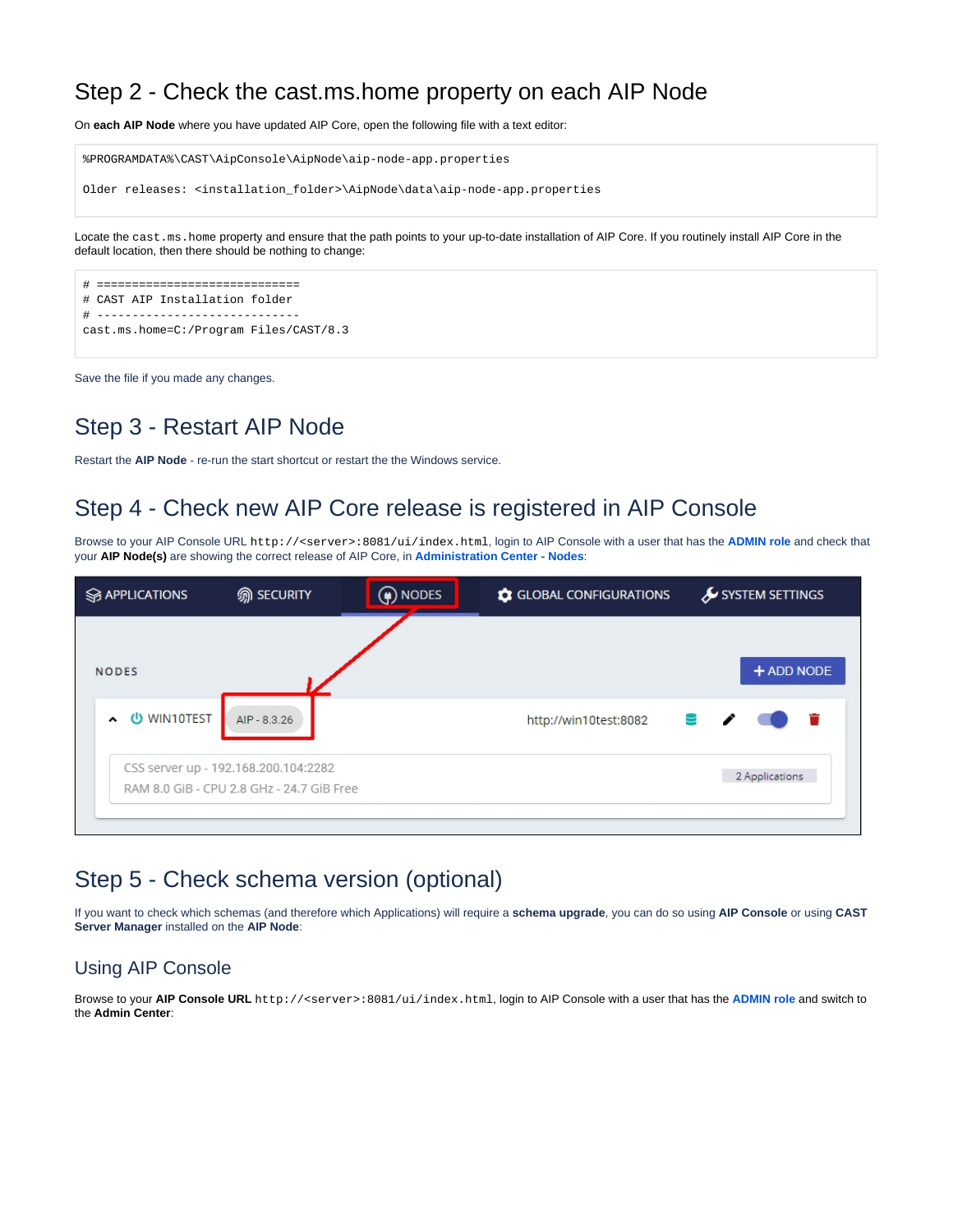#### Step 2 - Check the cast.ms.home property on each AIP Node

On **each AIP Node** where you have updated AIP Core, open the following file with a text editor:

%PROGRAMDATA%\CAST\AipConsole\AipNode\aip-node-app.properties Older releases: <installation\_folder>\AipNode\data\aip-node-app.properties

Locate the cast.ms.home property and ensure that the path points to your up-to-date installation of AIP Core. If you routinely install AIP Core in the default location, then there should be nothing to change:

```
# =============================
# CAST AIP Installation folder
# -----------------------------
cast.ms.home=C:/Program Files/CAST/8.3
```
Save the file if you made any changes.

#### <span id="page-4-0"></span>Step 3 - Restart AIP Node

Restart the **AIP Node** - re-run the start shortcut or restart the the Windows service.

### <span id="page-4-1"></span>Step 4 - Check new AIP Core release is registered in AIP Console

Browse to your AIP Console URL http://<server>:8081/ui/index.html, login to AIP Console with a user that has the **[ADMIN role](https://doc.castsoftware.com/display/AIPCONSOLEDRAFT/Administration+Center+-+Security+-+User+Roles)** and check that your **AIP Node(s)** are showing the correct release of AIP Core, in **[Administration Center - Nodes](https://doc.castsoftware.com/display/AIPCONSOLEDRAFT/Administration+Center+-+Nodes)**:

| <b>S</b> APPLICATIONS | <b>m</b> SECURITY                                                                 | $\left(\bigoplus$ nodes | GLOBAL CONFIGURATIONS | SYSTEM SETTINGS |
|-----------------------|-----------------------------------------------------------------------------------|-------------------------|-----------------------|-----------------|
| <b>NODES</b>          |                                                                                   |                         |                       | + ADD NODE      |
| U WIN10TEST<br>$\sim$ | AIP - 8.3.26                                                                      |                         | http://win10test:8082 | ≊ ∕             |
|                       | CSS server up - 192.168.200.104:2282<br>RAM 8.0 GiB - CPU 2.8 GHz - 24.7 GiB Free |                         |                       | 2 Applications  |

#### <span id="page-4-2"></span>Step 5 - Check schema version (optional)

If you want to check which schemas (and therefore which Applications) will require a **schema upgrade**, you can do so using **AIP Console** or using **CAST Server Manager** installed on the **AIP Node**:

#### <span id="page-4-3"></span>Using AIP Console

Browse to your **AIP Console URL** http://<server>:8081/ui/index.html, login to AIP Console with a user that has the **[ADMIN role](https://doc.castsoftware.com/display/AIPCONSOLE/Administration+Center+-+Security+-+User+Roles)** and switch to the **Admin Center**: